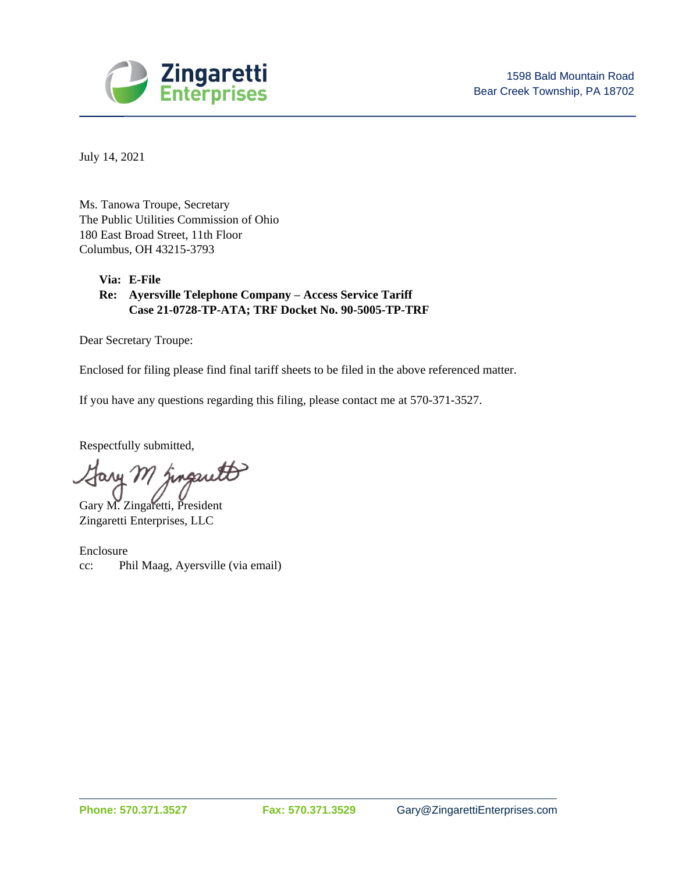

July 14, 2021

Ms. Tanowa Troupe, Secretary The Public Utilities Commission of Ohio 180 East Broad Street, 11th Floor Columbus, OH 43215-3793

## **Via: E-File Re: Ayersville Telephone Company – Access Service Tariff Case 21-0728-TP-ATA; TRF Docket No. 90-5005-TP-TRF**

Dear Secretary Troupe:

Enclosed for filing please find final tariff sheets to be filed in the above referenced matter.

If you have any questions regarding this filing, please contact me at 570-371-3527.

Respectfully submitted,

ary M jingautt

Gary M. Zingaretti, President Zingaretti Enterprises, LLC

Enclosure cc: Phil Maag, Ayersville (via email)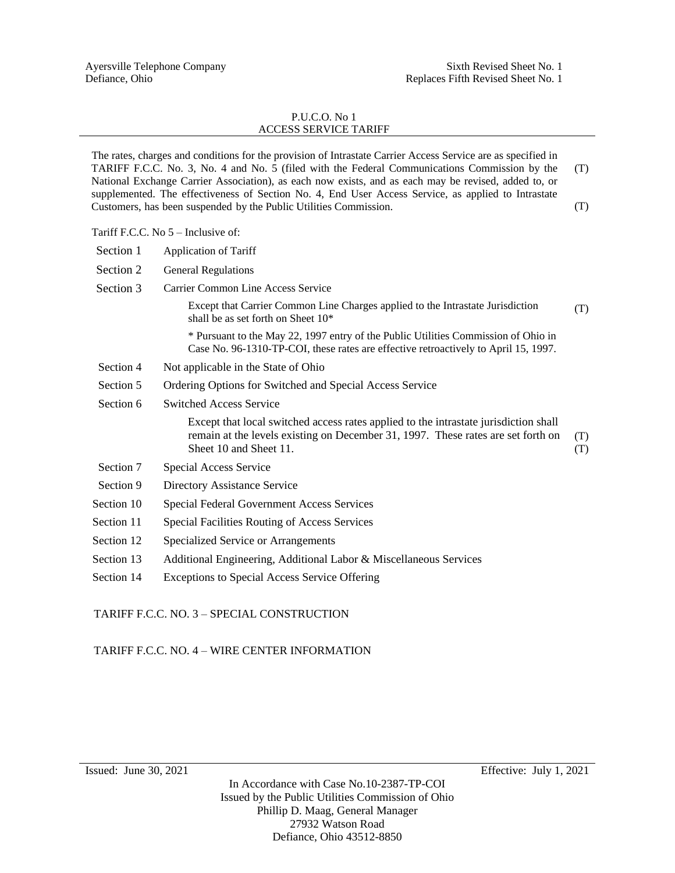## P.U.C.O. No 1 ACCESS SERVICE TARIFF

The rates, charges and conditions for the provision of Intrastate Carrier Access Service are as specified in TARIFF F.C.C. No. 3, No. 4 and No. 5 (filed with the Federal Communications Commission by the National Exchange Carrier Association), as each now exists, and as each may be revised, added to, or supplemented. The effectiveness of Section No. 4, End User Access Service, as applied to Intrastate Customers, has been suspended by the Public Utilities Commission. (T) (T)

| Section 1  | <b>Application of Tariff</b>                                                                                                                                                                       |            |
|------------|----------------------------------------------------------------------------------------------------------------------------------------------------------------------------------------------------|------------|
| Section 2  | <b>General Regulations</b>                                                                                                                                                                         |            |
| Section 3  | Carrier Common Line Access Service                                                                                                                                                                 |            |
|            | Except that Carrier Common Line Charges applied to the Intrastate Jurisdiction<br>shall be as set forth on Sheet $10*$                                                                             | (T)        |
|            | * Pursuant to the May 22, 1997 entry of the Public Utilities Commission of Ohio in<br>Case No. 96-1310-TP-COI, these rates are effective retroactively to April 15, 1997.                          |            |
| Section 4  | Not applicable in the State of Ohio                                                                                                                                                                |            |
| Section 5  | Ordering Options for Switched and Special Access Service                                                                                                                                           |            |
| Section 6  | <b>Switched Access Service</b>                                                                                                                                                                     |            |
|            | Except that local switched access rates applied to the intrastate jurisdiction shall<br>remain at the levels existing on December 31, 1997. These rates are set forth on<br>Sheet 10 and Sheet 11. | (T)<br>(T) |
| Section 7  | Special Access Service                                                                                                                                                                             |            |
| Section 9  | Directory Assistance Service                                                                                                                                                                       |            |
| Section 10 | Special Federal Government Access Services                                                                                                                                                         |            |
| Section 11 | Special Facilities Routing of Access Services                                                                                                                                                      |            |
| Section 12 | Specialized Service or Arrangements                                                                                                                                                                |            |
| Section 13 | Additional Engineering, Additional Labor & Miscellaneous Services                                                                                                                                  |            |
|            |                                                                                                                                                                                                    |            |

Section 14 Exceptions to Special Access Service Offering

TARIFF F.C.C. NO. 3 – SPECIAL CONSTRUCTION

TARIFF F.C.C. NO. 4 – WIRE CENTER INFORMATION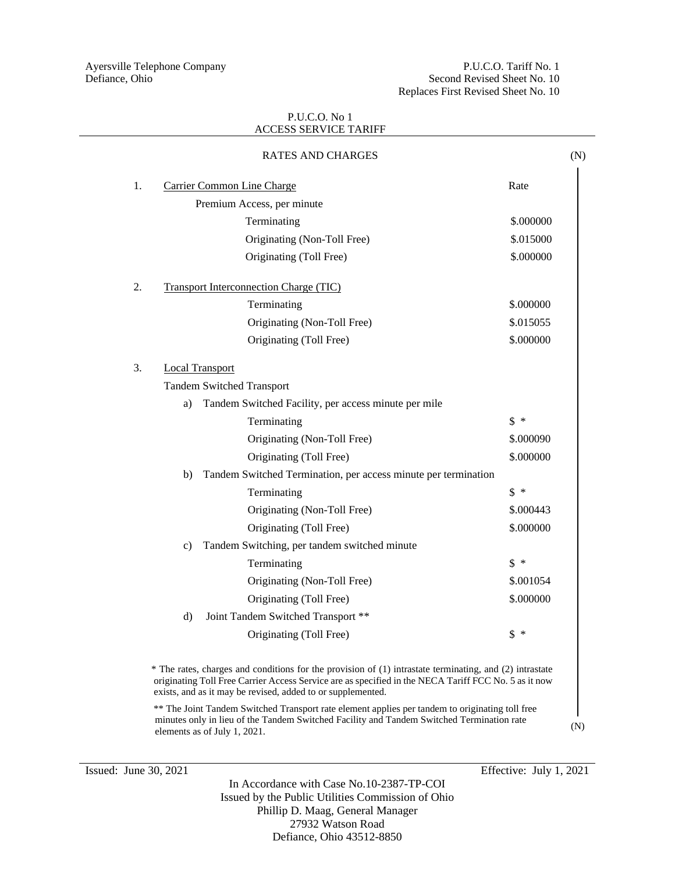Ayersville Telephone Company **P.U.C.O.** Tariff No. 1 Defiance, Ohio Second Revised Sheet No. 10 Replaces First Revised Sheet No. 10

## P.U.C.O. No 1 ACCESS SERVICE TARIFF

|                        | <b>Carrier Common Line Charge</b>                              | Rate            |
|------------------------|----------------------------------------------------------------|-----------------|
|                        | Premium Access, per minute                                     |                 |
|                        | Terminating                                                    | \$.000000       |
|                        | Originating (Non-Toll Free)                                    | \$.015000       |
|                        | Originating (Toll Free)                                        | \$.000000       |
|                        | <b>Transport Interconnection Charge (TIC)</b>                  |                 |
|                        | Terminating                                                    | \$.000000       |
|                        | Originating (Non-Toll Free)                                    | \$.015055       |
|                        | Originating (Toll Free)                                        | \$.000000       |
| <b>Local Transport</b> |                                                                |                 |
|                        | <b>Tandem Switched Transport</b>                               |                 |
| a)                     | Tandem Switched Facility, per access minute per mile           |                 |
|                        | Terminating                                                    | $\frac{1}{2}$   |
|                        | Originating (Non-Toll Free)                                    | \$.000090       |
|                        | Originating (Toll Free)                                        | \$.000000       |
| b)                     | Tandem Switched Termination, per access minute per termination |                 |
|                        | Terminating                                                    | $\frac{1}{2}$ * |
|                        | Originating (Non-Toll Free)                                    | \$.000443       |
|                        | Originating (Toll Free)                                        | \$.000000       |
| c)                     | Tandem Switching, per tandem switched minute                   |                 |
|                        | Terminating                                                    | $\frac{1}{2}$ * |
|                        | Originating (Non-Toll Free)                                    | \$.001054       |
|                        | Originating (Toll Free)                                        | \$.000000       |
| $\rm d$                | Joint Tandem Switched Transport **                             |                 |
|                        | Originating (Toll Free)                                        | $\frac{1}{2}$ * |

exists, and as it may be revised, added to or supplemented.

\*\* The Joint Tandem Switched Transport rate element applies per tandem to originating toll free minutes only in lieu of the Tandem Switched Facility and Tandem Switched Termination rate (N) elements as of July 1, 2021.

In Accordance with Case No.10-2387-TP-COI Issued by the Public Utilities Commission of Ohio Phillip D. Maag, General Manager 27932 Watson Road Defiance, Ohio 43512-8850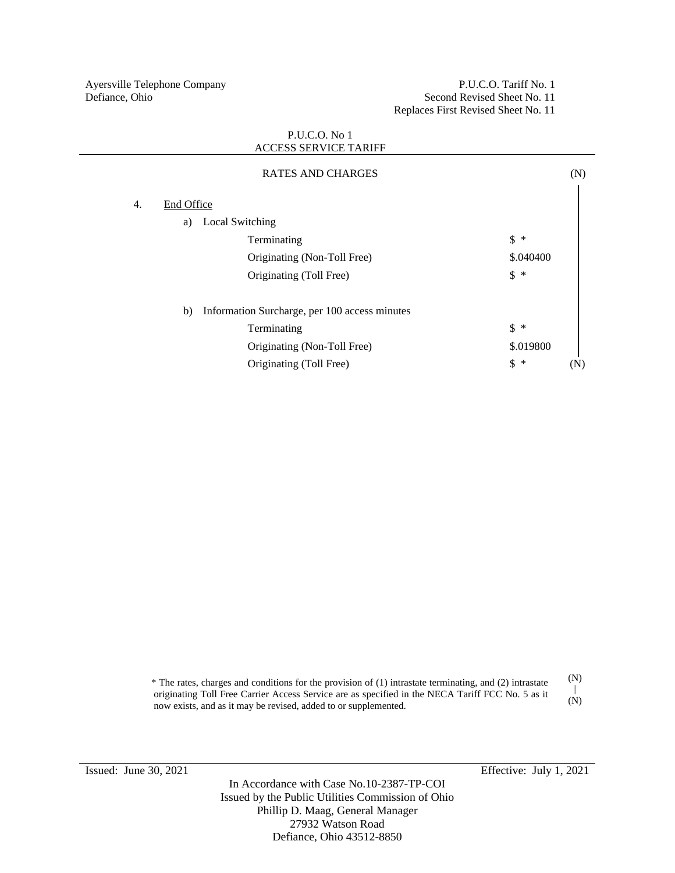Ayersville Telephone Company P.U.C.O. Tariff No. 1<br>Defiance, Ohio Second Revised Sheet No. 11 Second Revised Sheet No. 11 Replaces First Revised Sheet No. 11

|    |            | <b>RATES AND CHARGES</b>                      |                | (N) |
|----|------------|-----------------------------------------------|----------------|-----|
| 4. | End Office |                                               |                |     |
|    | a)         | Local Switching                               |                |     |
|    |            | Terminating                                   | \$<br>∗        |     |
|    |            | Originating (Non-Toll Free)                   | \$.040400      |     |
|    |            | Originating (Toll Free)                       | $\mathbb{S}$ * |     |
|    | b)         | Information Surcharge, per 100 access minutes |                |     |
|    |            | Terminating                                   | \$<br>$\ast$   |     |
|    |            | Originating (Non-Toll Free)                   | \$.019800      |     |
|    |            | Originating (Toll Free)                       | \$<br>∗        |     |

## P.U.C.O. No 1 ACCESS SERVICE TARIFF

\* The rates, charges and conditions for the provision of (1) intrastate terminating, and (2) intrastate originating Toll Free Carrier Access Service are as specified in the NECA Tariff FCC No. 5 as it now exists, and as it may be revised, added to or supplemented. (N) | (N)

Issued: June 30, 2021 Effective: July 1, 2021

In Accordance with Case No.10-2387-TP-COI Issued by the Public Utilities Commission of Ohio Phillip D. Maag, General Manager 27932 Watson Road Defiance, Ohio 43512-8850